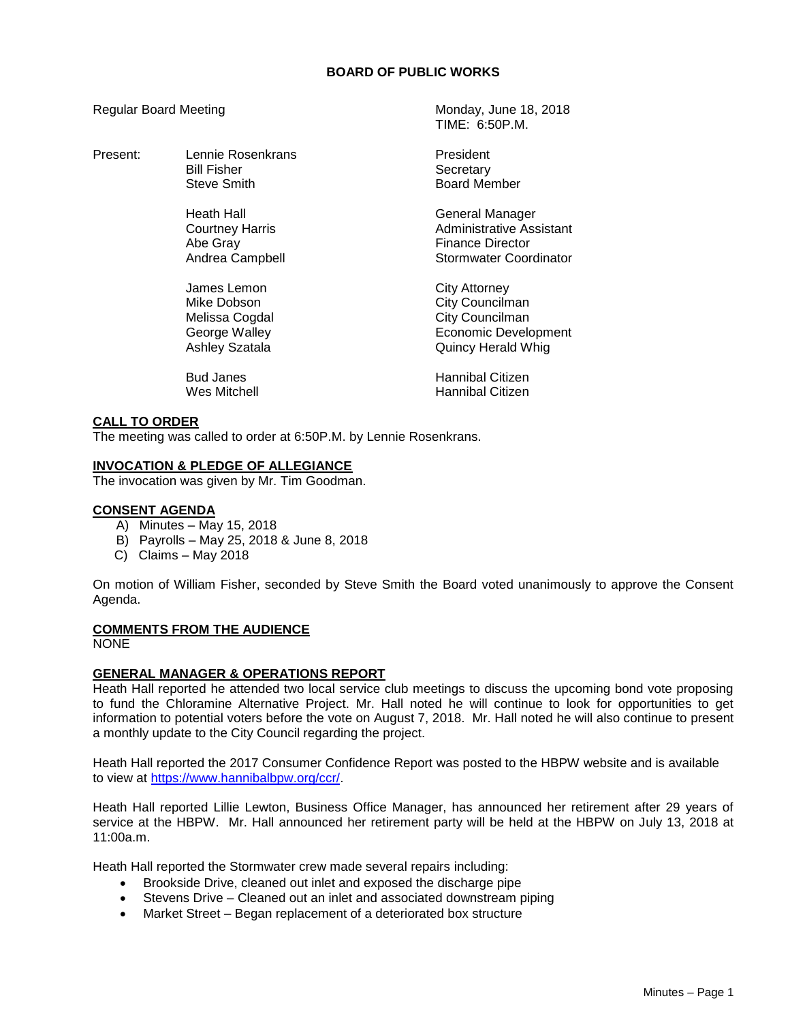# **BOARD OF PUBLIC WORKS**

TIME: 6:50P.M.

Regular Board Meeting Monday, June 18, 2018

| Present: | Lennie Rosenkrans<br><b>Bill Fisher</b><br><b>Steve Smith</b>                          | President<br>Secretary<br><b>Board Member</b>                                                                          |
|----------|----------------------------------------------------------------------------------------|------------------------------------------------------------------------------------------------------------------------|
|          | Heath Hall<br>Courtney Harris<br>Abe Gray<br>Andrea Campbell                           | General Manager<br>Administrative Assistant<br>Finance Director<br>Stormwater Coordinator                              |
|          | James Lemon<br>Mike Dobson<br>Melissa Cogdal<br>George Walley<br><b>Ashley Szatala</b> | <b>City Attorney</b><br>City Councilman<br>City Councilman<br><b>Economic Development</b><br><b>Quincy Herald Whig</b> |
|          | <b>Bud Janes</b><br>Wes Mitchell                                                       | Hannibal Citizen<br>Hannibal Citizen                                                                                   |

### **CALL TO ORDER**

The meeting was called to order at 6:50P.M. by Lennie Rosenkrans.

### **INVOCATION & PLEDGE OF ALLEGIANCE**

The invocation was given by Mr. Tim Goodman.

### **CONSENT AGENDA**

- A) Minutes May 15, 2018
- B) Payrolls May 25, 2018 & June 8, 2018
- C) Claims May 2018

On motion of William Fisher, seconded by Steve Smith the Board voted unanimously to approve the Consent Agenda.

#### **COMMENTS FROM THE AUDIENCE**

NONE

# **GENERAL MANAGER & OPERATIONS REPORT**

Heath Hall reported he attended two local service club meetings to discuss the upcoming bond vote proposing to fund the Chloramine Alternative Project. Mr. Hall noted he will continue to look for opportunities to get information to potential voters before the vote on August 7, 2018. Mr. Hall noted he will also continue to present a monthly update to the City Council regarding the project.

Heath Hall reported the 2017 Consumer Confidence Report was posted to the HBPW website and is available to view at [https://www.hannibalbpw.org/ccr/.](https://www.hannibalbpw.org/ccr/)

Heath Hall reported Lillie Lewton, Business Office Manager, has announced her retirement after 29 years of service at the HBPW. Mr. Hall announced her retirement party will be held at the HBPW on July 13, 2018 at 11:00a.m.

Heath Hall reported the Stormwater crew made several repairs including:

- Brookside Drive, cleaned out inlet and exposed the discharge pipe
- Stevens Drive Cleaned out an inlet and associated downstream piping
- Market Street Began replacement of a deteriorated box structure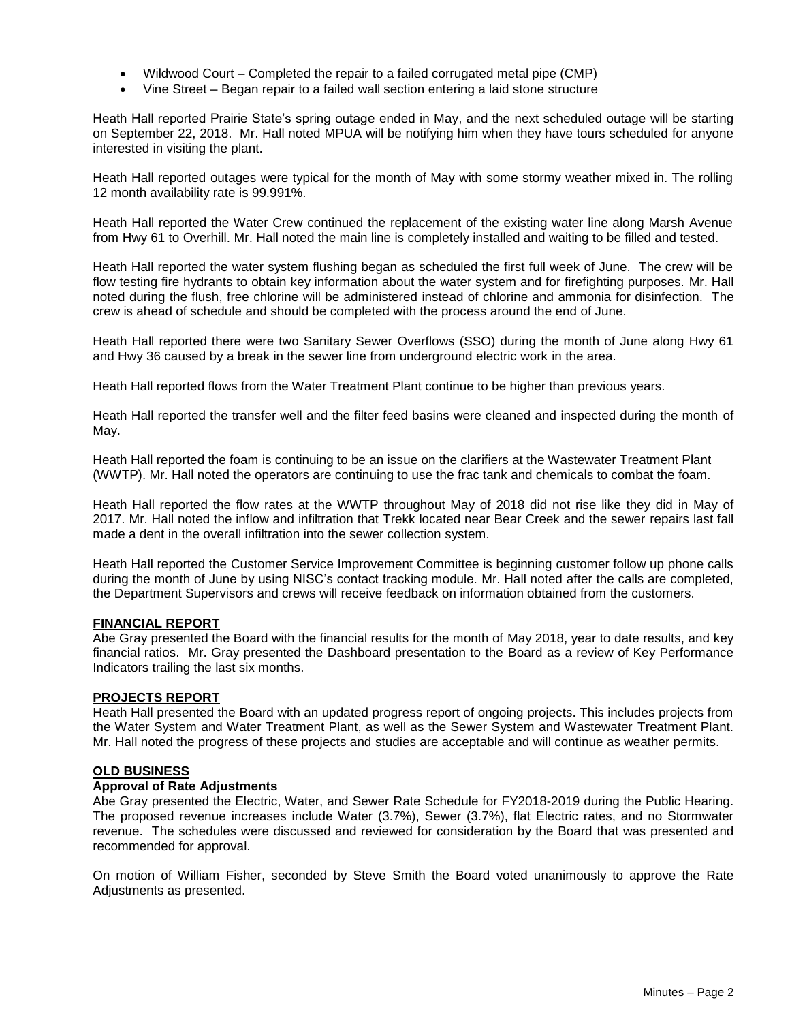- Wildwood Court Completed the repair to a failed corrugated metal pipe (CMP)
- Vine Street Began repair to a failed wall section entering a laid stone structure

Heath Hall reported Prairie State's spring outage ended in May, and the next scheduled outage will be starting on September 22, 2018. Mr. Hall noted MPUA will be notifying him when they have tours scheduled for anyone interested in visiting the plant.

Heath Hall reported outages were typical for the month of May with some stormy weather mixed in. The rolling 12 month availability rate is 99.991%.

Heath Hall reported the Water Crew continued the replacement of the existing water line along Marsh Avenue from Hwy 61 to Overhill. Mr. Hall noted the main line is completely installed and waiting to be filled and tested.

Heath Hall reported the water system flushing began as scheduled the first full week of June. The crew will be flow testing fire hydrants to obtain key information about the water system and for firefighting purposes. Mr. Hall noted during the flush, free chlorine will be administered instead of chlorine and ammonia for disinfection. The crew is ahead of schedule and should be completed with the process around the end of June.

Heath Hall reported there were two Sanitary Sewer Overflows (SSO) during the month of June along Hwy 61 and Hwy 36 caused by a break in the sewer line from underground electric work in the area.

Heath Hall reported flows from the Water Treatment Plant continue to be higher than previous years.

Heath Hall reported the transfer well and the filter feed basins were cleaned and inspected during the month of May.

Heath Hall reported the foam is continuing to be an issue on the clarifiers at the Wastewater Treatment Plant (WWTP). Mr. Hall noted the operators are continuing to use the frac tank and chemicals to combat the foam.

Heath Hall reported the flow rates at the WWTP throughout May of 2018 did not rise like they did in May of 2017. Mr. Hall noted the inflow and infiltration that Trekk located near Bear Creek and the sewer repairs last fall made a dent in the overall infiltration into the sewer collection system.

Heath Hall reported the Customer Service Improvement Committee is beginning customer follow up phone calls during the month of June by using NISC's contact tracking module. Mr. Hall noted after the calls are completed, the Department Supervisors and crews will receive feedback on information obtained from the customers.

# **FINANCIAL REPORT**

Abe Gray presented the Board with the financial results for the month of May 2018, year to date results, and key financial ratios. Mr. Gray presented the Dashboard presentation to the Board as a review of Key Performance Indicators trailing the last six months.

#### **PROJECTS REPORT**

Heath Hall presented the Board with an updated progress report of ongoing projects. This includes projects from the Water System and Water Treatment Plant, as well as the Sewer System and Wastewater Treatment Plant. Mr. Hall noted the progress of these projects and studies are acceptable and will continue as weather permits.

# **OLD BUSINESS**

### **Approval of Rate Adjustments**

Abe Gray presented the Electric, Water, and Sewer Rate Schedule for FY2018-2019 during the Public Hearing. The proposed revenue increases include Water (3.7%), Sewer (3.7%), flat Electric rates, and no Stormwater revenue. The schedules were discussed and reviewed for consideration by the Board that was presented and recommended for approval.

On motion of William Fisher, seconded by Steve Smith the Board voted unanimously to approve the Rate Adjustments as presented.